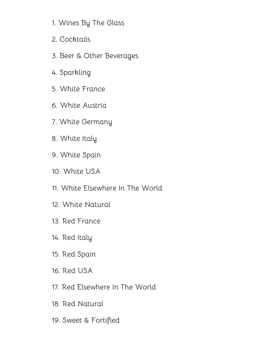- 1. [Wines](#page-1-0) By The Glass
- 2. [Cocktails](#page-3-0)
- 3. Beer & Other [Beverages](#page-6-0)
- 4. [Sparkling](#page-8-0)
- 5. White [France](#page-10-0)
- 6. White [Austria](#page-14-0)
- 7. White [Germany](#page-17-0)
- 8. [White](#page-19-0) Italy
- 9. [White](#page-21-0) Spain
- 10. [White](#page-23-0) USA
- 11. White [Elsewhere](#page-25-0) In The World
- 12. White [Natural](#page-27-0)
- 13. Red [France](#page-31-0)
- 14. Red [Italy](#page-36-0)
- 15. Red [Spain](#page-39-0)
- 16. Red [USA](#page-42-0)
- 17. Red [Elsewhere](#page-44-0) In The World
- 18. Red [Natural](#page-46-0)
- 19. Sweet & [Fortified](#page-49-0)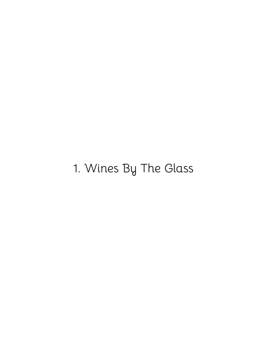# <span id="page-1-0"></span>1. Wines By The Glass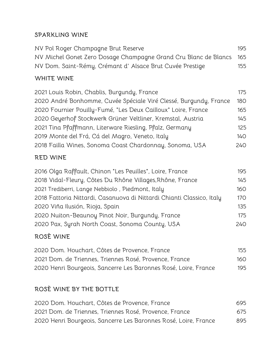#### **SPARKLING WINE**

| NV Pol Roger Champagne Brut Reserve                                 | 195 |
|---------------------------------------------------------------------|-----|
| NV Michel Gonet Zero Dosage Champagne Grand Cru Blanc de Blancs 165 |     |
| NV Dom. Saint-Rémy, Crémant d'Alsace Brut Cuvée Prestige            | 155 |

#### **WHITE WINE**

| 2021 Louis Robin, Chablis, Burgundy, France                       | 175 |
|-------------------------------------------------------------------|-----|
| 2020 André Bonhomme, Cuvée Spéciale Viré Clessé, Burgundy, France | 180 |
| 2020 Fournier Pouilly-Fumé, "Les Deux Cailloux" Loire, France     | 165 |
| 2020 Geyerhof Stockwerk Grüner Veltliner, Kremstal, Austria       | 145 |
| 2021 Tina Pfaffmann, Literware Riesling, Pfalz, Germany           | 125 |
| 2019 Monte del Frá, Cá del Magro, Veneto, Italy                   | 14O |
| 2018 Failla Wines, Sonoma Coast Chardonnay, Sonoma, USA           | 240 |

# **RED WINE**

| 2016 Olga Raffault, Chinon "Les Peuilles", Loire, France              | 195        |
|-----------------------------------------------------------------------|------------|
| 2018 Vidal-Fleury, Côtes Du Rhône Villages, Rhône, France             | 145        |
| 2021 Trediberri, Lange Nebbiolo, Piedmont, Italy                      | 160        |
| 2018 Fattoria Nittardi, Casanuova di Nittardi Chianti Classico, Italy | 170        |
| 2020 Viña Ilusión, Rioja, Spain                                       | 135        |
| 2020 Nuiton-Beaunoy Pinot Noir, Burgundy, France                      | 175        |
| 2020 Pax, Syrah North Coast, Sonoma County, USA                       | <b>240</b> |

# **ROSÈ WINE**

| 2020 Dom. Houchart, Côtes de Provence, France                   | 155 |
|-----------------------------------------------------------------|-----|
| 2021 Dom. de Triennes, Triennes Rosé, Provence, France          | 160 |
| 2020 Henri Bourgeois, Sancerre Les Baronnes Rosé, Loire, France | 195 |

# **ROSÈ WINE BY THE BOTTLE**

| 2020 Dom. Houchart, Côtes de Provence, France                   | 695 |
|-----------------------------------------------------------------|-----|
| 2021 Dom. de Triennes. Triennes Rosé. Provence. France          | 675 |
| 2020 Henri Bourgeois, Sancerre Les Baronnes Rosé, Loire, France | 895 |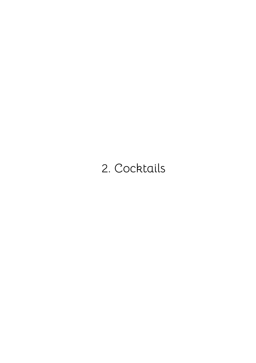# <span id="page-3-0"></span>2. Cocktails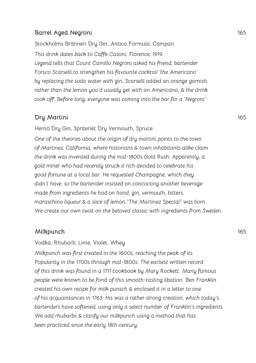#### **Barrel Aged Negroni** 165

Stockholms Bränneri Dry Gin, Antica Formula, Campari *This drink dates back to Caffe Casoni, Florence, 1919. Legend tells that Count Camillo Negroni asked his friend, bartender Forsco Scarselli,to strengthen his favourite cocktail 'the Americano' by replacing the soda water with gin. Scarselli added an orange garnish, rather than the lemon you'd usually get with an Americano, & the drink took off. Before long, everyone was coming into the bar for a 'Negroni'*

#### **Dry Martini** 165

Hernö Dry Gin, Spriteriet Dry Vermouth, Spruce

*One of the theories about the origin of dry martini points to the town of Martinez, California, where historians & town inhabitants alike claim the drink was invented during the mid-1800s Gold Rush. Apparently, a gold miner who had recently struck it rich decided to celebrate his good fortune at a local bar. He requested Champagne, which they didn't have, so the bartender insisted on concocting another beverage made from ingredients he had on hand: gin, vermouth, bitters, maraschino liqueur,& a slice of lemon."The Martinez Special" was born. We create our own twist on the beloved classic with ingredients from Sweden.*

#### **Milkpunch** 165

#### Vodka, Rhubarb, Lime, Violet, Whey

*Milkpunch was first created in the 1600s, reaching the peak of its Popularity in the 1700s through mid-1800s. The earliest written record of this drink was found in a 1711 cookbook by Mary Rockett. Many famous people were known to be fond of this smooth-tasting libation. Ben Franklin created his own recipe for milk punsch & enclosed it in a letter to one of his acquaintances in 1763. His was a rather strong creation, which today's bartenders have softened, using only a select number of Franklin's ingredients. We add rhubarbs & clarify our milkpunch using a method that has been practiced since the early 18th century.*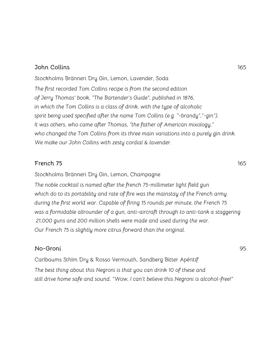#### **John Collins** 165

Stockholms Bränneri Dry Gin, Lemon, Lavender, Soda *The first recorded Tom Collins recipe is from the second edition of Jerry Thomas' book, "The Bartender's Guide", published in 1876, in which the Tom Collins is a class of drink, with the type of alcoholic spirit being used specified after the name Tom Collins (e.g. "-brandy","-gin"). It was others, who came after Thomas, "the father of American mixology," who changed the Tom Collins from its three main variations into a purely gin drink. We make our John Collins with zesty cordial & lavender.*

#### **French 75** 165

Stockholms Bränneri Dry Gin, Lemon, Champagne

*The noble cocktail is named after the french 75-millimeter light field gun which do to its portability and rate of fire was the mainstay of the French army during the first world war. Capable of firing 15 rounds per minute, the French 75 was a formidable allrounder of a gun, anti-aircraft through to anti-tank a staggering 21,000 guns and 200 million shells were made and used during the war. Our French 75 is slightly more citrus forward than the original.*

#### **No-Groni** 95

Carlbaums Sthlm Dry & Rosso Vermouth, Sandberg Bitter Apéritif *The best thing about this Negroni is that you can drink 10 of these and still drive home safe and sound. "Wow, I can't believe this Negroni is alcohol-free!"*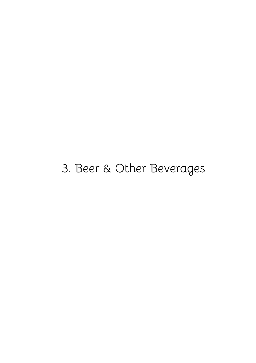# <span id="page-6-0"></span>3. Beer & Other Beverages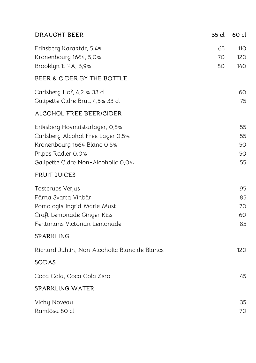| <b>DRAUGHT BEER</b>                                                                                                                                            | 35 cl          | 60 cl                      |
|----------------------------------------------------------------------------------------------------------------------------------------------------------------|----------------|----------------------------|
| Eriksberg Karaktär, 5,4%<br>Kronenbourg 1664, 5,0%<br>Brooklyn EIPA, 6,9%                                                                                      | 65<br>70<br>80 | 110<br>120<br><b>140</b>   |
| BEER & CIDER BY THE BOTTLE                                                                                                                                     |                |                            |
| Carlsberg Hof, 4,2 % 33 cl<br>Galipette Cidre Brut, 4,5% 33 cl                                                                                                 |                | 60<br>75                   |
| ALCOHOL FREE BEER/CIDER                                                                                                                                        |                |                            |
| Eriksberg Hovmästarlager, 0,5%<br>Carlsberg Alcohol Free Lager 0,5%<br>Kronenbourg 1664 Blanc 0,5%<br>Pripps Radler 0,0%<br>Galipette Cidre Non-Alcoholic 0,0% |                | 55<br>55<br>50<br>50<br>55 |
| <b>FRUIT JUICES</b>                                                                                                                                            |                |                            |
| Tosterups Verjus<br>Färna Svarta Vinbär<br>Pomologik Ingrid Marie Must<br>Craft Lemonade Ginger Kiss<br>Fentimans Victorian Lemonade                           |                | 95<br>85<br>70<br>60<br>85 |
| SPARKLING                                                                                                                                                      |                |                            |
| Richard Juhlin, Non Alcoholic Blanc de Blancs                                                                                                                  |                | 120                        |
| SODAS                                                                                                                                                          |                |                            |
| Coca Cola, Coca Cola Zero                                                                                                                                      |                | 45                         |
| SPARKLING WATER                                                                                                                                                |                |                            |
| Vichy Noveau<br>Ramlösa 80 cl                                                                                                                                  |                | 35<br>70                   |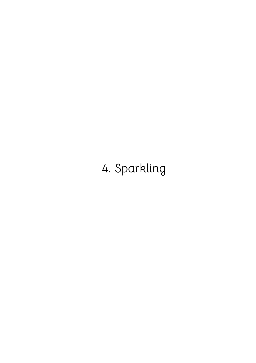# <span id="page-8-0"></span>4. Sparkling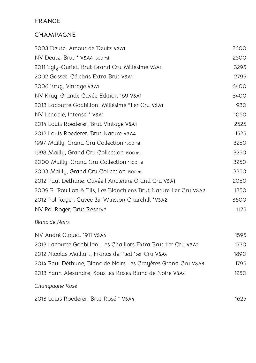# **FRANCE**

### **CHAMPAGNE**

| 2003 Deutz, Amour de Deutz VSA1                                   | 2600 |
|-------------------------------------------------------------------|------|
| NV Deutz, Brut * VSA4 1500 ml                                     | 2500 |
| 2011 Egly-Ouriet, Brut Grand Cru Millésime VSA1                   | 3295 |
| 2002 Gosset, Célebris Extra Brut VSA1                             | 2795 |
| 2006 Krug, Vintage VSA1                                           | 6400 |
| NV Krug, Grande Cuvée Edition 169 VSA1                            | 3400 |
| 2013 Lacourte Godbillon, Millésime *1:er Cru VSA1                 | 930  |
| NV Lenoble, Intense * VSA1                                        | 1050 |
| 2014 Louis Roederer, Brut Vintage VSA1                            | 2525 |
| 2012 Louis Roederer, Brut Nature VSA4                             | 1525 |
| 1997 Mailly, Grand Cru Collection 1500 ml                         | 3250 |
| 1998 Mailly, Grand Cru Collection 1500 ml                         | 3250 |
| 2000 Mailly, Grand Cru Collection 1500 ml                         | 3250 |
| 2003 Mailly, Grand Cru Collection 1500 ml                         | 3250 |
| 2012 Paul Déthune, Cuvée l'Ancienne Grand Cru VSA1                | 2050 |
| 2009 R. Pouillon & Fils, Les Blanchiens Brut Nature 1:er Cru VSA2 | 1350 |
| 2012 Pol Roger, Cuvée Sir Winston Churchill *VSA2                 | 3600 |
| NV Pol Roger, Brut Reserve                                        | 1175 |
| <b>Blanc de Noirs</b>                                             |      |
| NV André Clouet, 1911 VSA4                                        | 1595 |
| 2013 Lacourte Godbillon, Les Chaillots Extra Brut 1:er Cru VSA2   | 1770 |
| 2012 Nicolas Maillart, Francs de Pied 1:er Cru VSA4               | 1890 |
| 2014 Paul Déthune, Blanc de Noirs Les Crayères Grand Cru VSA3     | 1795 |
| 2013 Yann Alexandre, Sous les Roses Blanc de Noire VSA4           | 1250 |
|                                                                   |      |

### *Champagne Rosé*

Louis Roederer, Brut Rosé \* **VSA4** 1625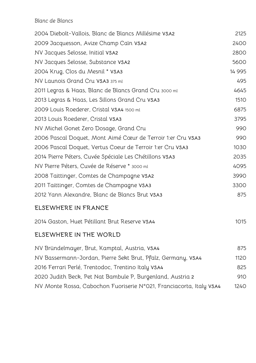#### *Blanc de Blancs*

<span id="page-10-0"></span>

| 2004 Diebolt-Vallois, Blanc de Blancs Millésime VSA2                | 2125        |
|---------------------------------------------------------------------|-------------|
| 2009 Jacquesson, Avize Champ Caïn VSA2                              | 2400        |
| NV Jacques Selosse, Initial VSA2                                    | 2800        |
| NV Jacques Selosse, Substance VSA2                                  | 5600        |
| 2004 Krug, Clos du Mesnil * VSA3                                    | 14 9 9 5    |
| NV Launois Grand Cru VSA3 375 ml                                    | 495         |
| 2011 Legras & Haas, Blanc de Blancs Grand Cru 3000 ml               | 4645        |
| 2013 Legras & Haas, Les Sillons Grand Cru VSA3                      | 1510        |
| 2009 Louis Roederer, Cristal VSA4 1500 ml                           | 6875        |
| 2013 Louis Roederer, Cristal VSA3                                   | 3795        |
| NV Michel Gonet Zero Dosage, Grand Cru                              | 990         |
| 2006 Pascal Doquet, Mont Aimé Cœur de Terroir 1:er Cru VSA3         | 990         |
| 2006 Pascal Doquet, Vertus Coeur de Terroir 1:er Cru VSA3           | 1030        |
| 2014 Pierre Péters, Cuvée Spéciale Les Chétillons VSA3              | 2035        |
| NV Pierre Péters, Cuvée de Réserve * 3000 ml                        | 4095        |
| 2008 Taittinger, Comtes de Champagne VSA2                           | 3990        |
| 2011 Taittinger, Comtes de Champagne VSA3                           | 3300        |
| 2012 Yann Alexandre, Blanc de Blancs Brut VSA3                      | 875         |
| ELSEWHERE IN FRANCE                                                 |             |
| 2014 Gaston, Huet Pétillant Brut Reserve VSA4                       | 1015        |
| <b>ELSEWHERE IN THE WORLD</b>                                       |             |
| NV Bründelmayer, Brut, Kamptal, Austria, VSA4                       | 875         |
| NV Bassermann-Jordan, Pierre Sekt Brut, Pfalz, Germany, VSA4        | 1120        |
| 2016 Ferrari Perlé, Trentodoc, Trentino Italy VSA4                  | 825         |
| 2020 Judith Beck, Pet Nat Bambule P, Burgenland, Austria 2          | 910         |
| NV Monte Rossa, Cabochon Fuoriserie N°021, Franciacorta, Italy VSA4 | <b>1240</b> |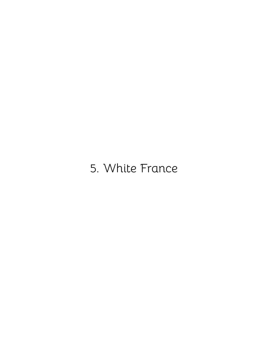# 5. White France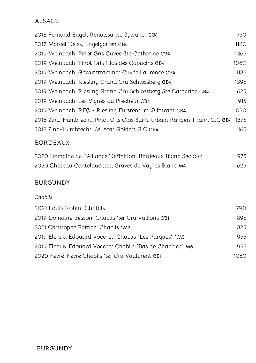### **ALSACE**

| 2018 Fernand Engel, Renaissance Sylvaner CB4                           | 750  |
|------------------------------------------------------------------------|------|
| 2017 Marcel Deiss, Engelgarten CB4                                     | 1160 |
| 2019 Weinbach, Pinot Gris Cuvée Ste Catherine CB4                      | 1365 |
| 2019 Weinbach, Pinot Gris Clos des Capucins CB4                        | 1060 |
| 2019 Weinbach, Gewurztraminer Cuvée Laurence CB4                       | 1185 |
| 2019 Weinbach, Riesling Grand Cru Schlossberg CB4                      | 1395 |
| 2019 Weinbach, Riesling Grand Cru Schlossberg Ste Catherine CB4        | 1625 |
| 2019 Weinbach, Les Vignes du Precheur CB4                              | 915  |
| 2019 Weinbach, RFØ - Riesling Furstentum Ø Intrant CB4                 | 1030 |
| 2016 Zind-Humbrecht, Pinot Gris Clos Saint Urbain Rangen Thann G.C CB4 | 1375 |
| 2018 Zind-Humbrecht, Muscat Goldert G.C CB4                            | 1165 |
|                                                                        |      |

#### **BORDEAUX**

| 2020 Domaine de l'Alliance Definition, Bordeaux Blanc Sec CB2 | 975 |
|---------------------------------------------------------------|-----|
| 2020 Château Cantelaudette, Graves de Vayres Blanc M4         | 625 |

#### **BURGUNDY**

| Chablis                                                   |       |
|-----------------------------------------------------------|-------|
| 2021 Louis Robin, Chablis                                 | 790.  |
| 2019 Domaine Besson, Chablis 1:er Cru Vaillons CB1        | 895   |
| 2021 Christophe Patrice, Chablis *M2                      | 825   |
| 2019 Eleni & Edouard Vocoret, Chablis "Les Pargues" *M3   | 955   |
| 2019 Eleni & Edouard Vocoret Chablis "Bas de Chapelot" M6 | 955   |
| 2020 Fevré-Fevré Chablis 1:er Cru Vaulorent CB1           | 1050. |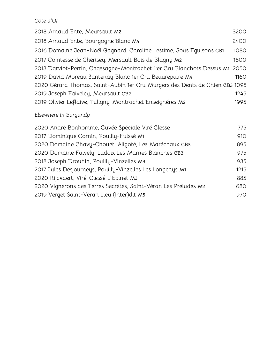#### *Côte d*'*Or*

| 2018 Arnaud Ente, Meursault M2                                              | 3200 |
|-----------------------------------------------------------------------------|------|
| 2018 Arnaud Ente, Bourgogne Blanc M4                                        | 2400 |
| 2016 Domaine Jean-Noël Gagnard, Caroline Lestime, Sous Eguisons CB1         | 1080 |
| 2017 Comtesse de Chèrisey, Mersault Bois de Blagny M2                       | 1600 |
| 2013 Darviot-Perrin, Chassagne-Montrachet 1:er Cru Blanchots Dessus M1 2050 |      |
| 2019 David Moreau Santenay Blanc 1er Cru Beaurepaire M4                     | 1160 |
| 2020 Gérard Thomas, Saint-Aubin 1er Cru Murgers des Dents de Chien CB3 1095 |      |
| 2019 Joseph Faiveley, Meursault CB2                                         | 1245 |
| 2019 Olivier Leflaive, Puligny-Montrachet Enseignéres M2                    | 1995 |

# *Elsewhere in Burgundy*

| 2020 André Bonhomme, Cuvée Spéciale Viré Clessé                 | 775  |
|-----------------------------------------------------------------|------|
| 2017 Dominique Cornin, Pouilly-Fuissé M1                        | 910  |
| 2020 Domaine Chavy-Chouet, Aligoté, Les Maréchaux CB3           | 895  |
| 2020 Domaine Faively, Ladoix Les Marnes Blanches CB3            | 975  |
| 2018 Joseph Drouhin, Pouilly-Vinzelles M3                       | 935  |
| 2017 Jules Desjourneys, Pouilly-Vinzelles Les Longeays M1       | 1215 |
| 2020 Rijckaert, Viré-Clessé L'Epinet M3                         | 885  |
| 2020 Vignerons des Terres Secrètes, Saint-Véran Les Préludes M2 | 680  |
| 2019 Verget Saint-Véran Lieu (Inter)dit M5                      | 970  |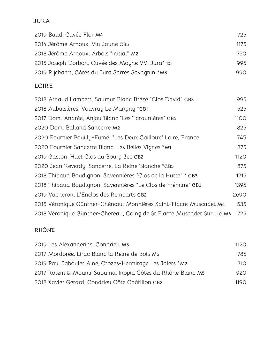#### **JURA**

| 2019 Baud, Cuvée Flor M4                           | 725  |  |
|----------------------------------------------------|------|--|
| 2014 Jérôme Arnoux, Vin Jaune CB5                  | 1175 |  |
| 2018 Jérôme Arnoux, Arbois "Initial" M2            | 750  |  |
| 2015 Joseph Dorbon, Cuvée des Moyne VV, Jura* 1:5  | 995  |  |
| 2019 Rijckaert, Côtes du Jura Sarres Savagnin * M3 | 990  |  |

# **LOIRE**

| 2018 Arnaud Lambert, Saumur Blanc Brézé "Clos David" CB3               | 995  |
|------------------------------------------------------------------------|------|
| 2018 Aubuisières, Vouvray Le Marigny *CB1                              | 525  |
| 2017 Dom. Andrée, Anjou Blanc "Les Faraunières" CB5                    | 1100 |
| 2020 Dom. Balland Sancerre M2                                          | 825  |
| 2020 Fournier Pouilly-Fumé, "Les Deux Cailloux" Loire, France          | 745  |
| 2020 Fournier Sancerre Blanc, Les Belles Vignes *M1                    | 875  |
| 2019 Gaston, Huet Clos du Bourg Sec CB2                                | 1120 |
| 2020 Jean Reverdy, Sancerre, La Reine Blanche *CB5                     | 875  |
| 2018 Thibaud Boudignon, Savennières "Clos de la Hutte" * CB3           | 1215 |
| 2018 Thibaud Boudignon, Savennières "Le Clos de Frémine" CB3           | 1395 |
| 2019 Vacheron, L'Enclos des Remparts CB2                               | 2690 |
| 2015 Véronique Günther-Chéreau, Monnières Saint-Fiacre Muscadet M4     | 535  |
| 2018 Véronique Günther-Chéreau, Coing de St Fiacre Muscadet Sur Lie M5 | 725  |

# **RHÔNE**

<span id="page-14-0"></span>

| 2019 Les Alexanderins, Condrieu M3                         | 1120             |
|------------------------------------------------------------|------------------|
| 2017 Mordorée, Lirac Blanc la Reine de Bois M5             | 785              |
| 2019 Paul Jaboulet Aine, Crozes-Hermitage Les Jalets *M2   | 710              |
| 2017 Rotem & Mounir Saouma, Inopia Côtes du Rhône Blanc M5 | 920              |
| 2018 Xavier Gérard, Condrieu Côte Châtillon CB2            | 119 <sub>O</sub> |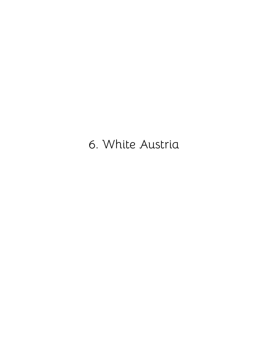6. White Austria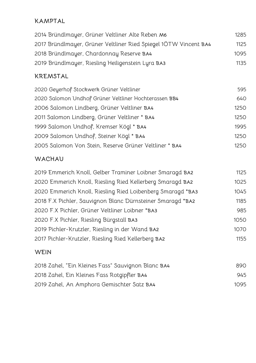# **KAMPTAL**

| 2014 Bründlmayer, Grüner Veltliner Alte Reben M6                 | 1285 |
|------------------------------------------------------------------|------|
| 2017 Bründlmayer, Grüner Veltliner Ried Spiegel 1ÖTW Vincent BA4 | 1125 |
| 2018 Bründlmayer, Chardonnay Reserve BA4                         | 1095 |
| 2019 Bründlmayer, Riesling Heiligenstein Lyra BA3                | 1135 |

### **KREMSTAL**

| 2020 Geyerhof Stockwerk Grüner Veltliner               | 595   |
|--------------------------------------------------------|-------|
| 2020 Salomon Undhof Grüner Veltliner Hochterassen BB4  | 640   |
| 2006 Salomon Lindberg, Grüner Veltliner BA4            | 1250  |
| 2011 Salomon Lindberg, Grüner Veltliner * BA4          | 1250  |
| 1999 Salomon Undhof, Kremser Kögl * BA4                | 1995  |
| 2009 Salomon Undhof, Steiner Kögl * BA4                | 1250  |
| 2005 Salomon Von Stein, Reserve Grüner Veltliner * BA4 | 1250. |

## **WACHAU**

| 2019 Emmerich Knoll, Gelber Traminer Loibner Smaragd BA2   | 1125 |
|------------------------------------------------------------|------|
| 2020 Emmerich Knoll, Riesling Ried Kellerberg Smaragd BA2  | 1025 |
| 2020 Emmerich Knoll, Riesling Ried Loibenberg Smaragd *BA3 | 1045 |
| 2018 F.X Pichler, Sauvignon Blanc Dürnsteiner Smaragd *BA2 | 1185 |
| 2020 F.X Pichler, Grüner Veltliner Loibner *BA3            | 985  |
| 2020 F.X Pichler, Riesling Bürgstall BA3                   | 1050 |
| 2019 Pichler-Krutzler, Riesling in der Wand BA2            | 1070 |
| 2017 Pichler-Krutzler, Riesling Ried Kellerberg BA2        | 1155 |
|                                                            |      |

# **WEIN**

| 2018 Zahel, "Ein Kleines Fass" Sauvignon Blanc BA4 | 890. |
|----------------------------------------------------|------|
| 2018 Zahel, Ein Kleines Fass Rotgipfler BA4        | 945  |
| 2019 Zahel, An Amphora Gemischter Satz BA4         | 1095 |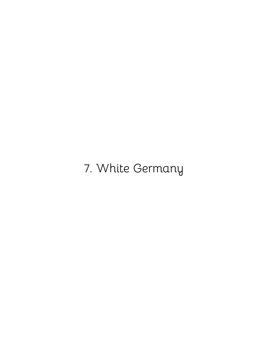<span id="page-17-0"></span>7. White Germany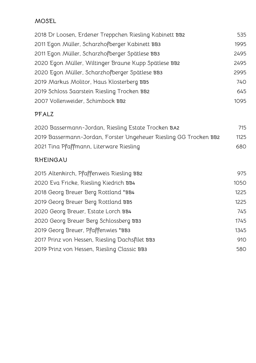#### **MOSEL**

| 2018 Dr Loosen, Erdener Treppchen Riesling Kabinett BB2 | 535  |
|---------------------------------------------------------|------|
| 2011 Egon Müller, Scharzhofberger Kabinett BB3          | 1995 |
| 2011 Egon Müller, Scharzhofberger Spätlese BB3          | 2495 |
| 2020 Egon Müller, Wiltinger Braune Kupp Spätlese BB2    | 2495 |
| 2020 Egon Müller, Scharzhofberger Spätlese BB3          | 2995 |
| 2019 Markus Molitor, Haus Klosterberg BB5               | 740  |
| 2019 Schloss Saarstein Riesling Trocken BB2             | 645  |
| 2007 Vollenweider, Schimbock BB2                        | 1095 |

## **PFALZ**

| 2020 Bassermann-Jordan, Riesling Estate Trocken BA2               | 715  |
|-------------------------------------------------------------------|------|
| 2019 Bassermann-Jordan, Forster Ungeheuer Riesling GG Trocken BB2 | 1125 |
| 2021 Tina Pfaffmann, Literware Riesling                           | 680. |

### **RHEINGAU**

| 2015 Altenkirch, Pfaffenweis Riesling BB2      | 975  |
|------------------------------------------------|------|
| 2020 Eva Fricke, Riesling Kiedrich BB4         | 1050 |
| 2018 Georg Breuer Berg Rottland *BB4           | 1225 |
| 2019 Georg Breuer Berg Rottland BB5            | 1225 |
| 2020 Georg Breuer, Estate Lorch BB4            | 745  |
| 2020 Georg Breuer Berg Schlossberg BB3         | 1745 |
| 2019 Georg Breuer, Pfaffenwies *BB3            | 1345 |
| 2017 Prinz von Hessen, Riesling Dachsfilet BB3 | 910  |
| 2019 Prinz von Hessen, Riesling Classic BB3    | 580  |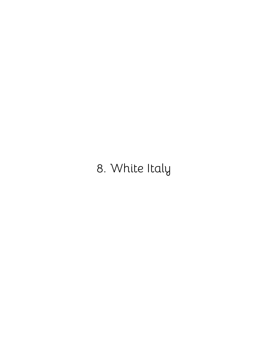# <span id="page-19-0"></span>8. White Italy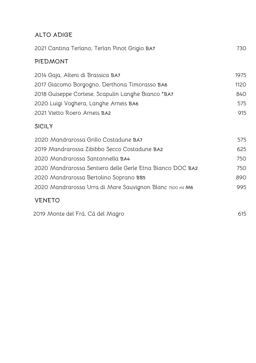# **ALTO ADIGE**

| 2021 Cantina Terlano, Terlan Pinot Grigio BA7             | 730  |
|-----------------------------------------------------------|------|
| PIEDMONT                                                  |      |
| 2014 Gaja, Alteni di Brassica BA7                         | 1975 |
| 2017 Giacomo Borgogno, Derthona Timorasso BA6             | 1120 |
| 2018 Guiseppe Cortese, Scapulin Langhe Bianco *BA7        | 840  |
| 2020 Luigi Voghera, Langhe Arneis BA6                     | 575  |
| 2021 Vietto Roero Arneis BA2                              | 915  |
| <b>SICILY</b>                                             |      |
| 2020 Mandrarossa Grillo Costadune BA7                     | 575  |
| 2019 Mandrarossa Zibibbo Secco Costadune BA2              | 625  |
| 2020 Mandrarossa Santannella BA4                          | 750  |
| 2020 Mandrarossa Sentiero delle Gerle Etna Bianco DOC BA2 | 750  |
| 2020 Mandrarossa Bertolino Soprano BB5                    | 890  |
| 2020 Mandrarossa Urra di Mare Sauvignon Blanc 1500 ml M6  | 995  |
| <b>VENETO</b>                                             |      |
| 2019 Monte del Frá, Cá del Magro                          | 615  |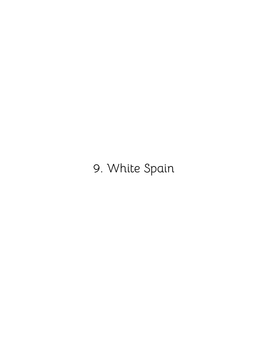# <span id="page-21-0"></span>9. White Spain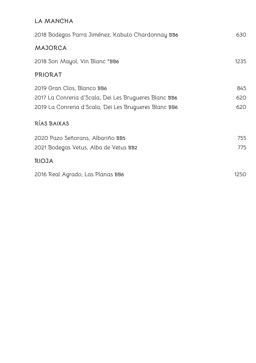#### **LA MANCHA**

| 2018 Bodegas Parra Jiménez, Kabuto Chardonnay BB6     | 630  |
|-------------------------------------------------------|------|
| <b>MAJORCA</b>                                        |      |
| 2018 Son Mayol, Vin Blanc *BB6                        | 1235 |
| <b>PRIORAT</b>                                        |      |
| 2019 Gran Clos, Blanco BB6                            | 845  |
| 2017 La Conreria d'Scala, Dei Les Brugueres Blanc BB6 | 620  |
| 2019 La Conreria d'Scala, Dei Les Brugueres Blanc BB6 | 620  |
| RÍAS BAIXAS                                           |      |
| 2020 Pazo Señorans, Albariño BB5                      | 755  |
| 2021 Bodegas Vetus, Alba de Vetus BB2                 | 775  |
| <b>RIOJA</b>                                          |      |
| 2016 Real Agrado, Las Planas BB6                      | 1250 |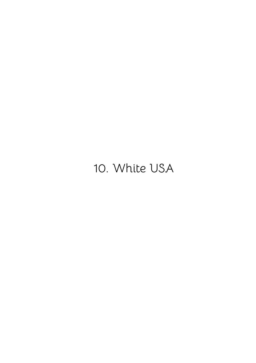# <span id="page-23-0"></span>10. White USA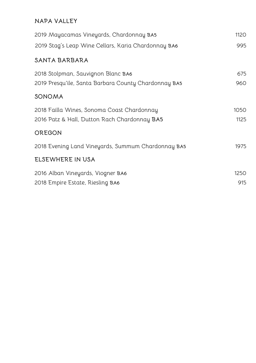#### **NAPA VALLEY**

| 2019 Mayacamas Vineyards, Chardonnay BA5             | 1120 |
|------------------------------------------------------|------|
| 2019 Stag's Leap Wine Cellars, Karia Chardonnay BA6  | 995  |
| SANTA BARBARA                                        |      |
| 2018 Stolpman, Sauvignon Blanc BA6                   | 675  |
| 2019 Presqu'ile, Santa Barbara County Chardonnay BA5 | 960  |
| SONOMA                                               |      |
| 2018 Failla Wines, Sonoma Coast Chardonnay           | 1050 |
| 2016 Patz & Hall, Dutton Rach Chardonnay BA5         | 1125 |
| OREGON                                               |      |
| 2018 Evening Land Vineyards, Summum Chardonnay BA5   | 1975 |
| ELSEWHERE IN USA                                     |      |
| 2016 Alban Vineyards, Viogner BA6                    | 1250 |
| 2018 Empire Estate, Riesling BA6                     | 915  |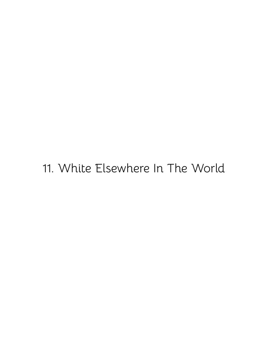# <span id="page-25-0"></span>11. White Elsewhere In The World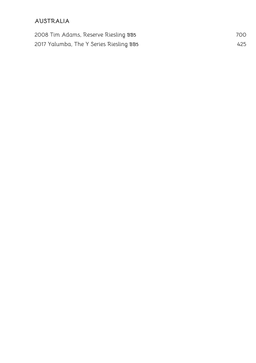#### **AUSTRALIA**

| 2008 Tim Adams, Reserve Riesling BB5    | 700 |
|-----------------------------------------|-----|
| 2017 Yalumba, The Y Series Riesling BB5 | 425 |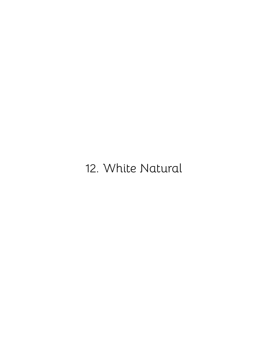# <span id="page-27-0"></span>12. White Natural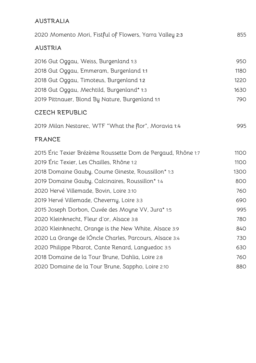#### **AUSTRALIA**

| 2020 Momento Mori, Fistful of Flowers, Yarra Valley 2:3      | 855  |
|--------------------------------------------------------------|------|
| <b>AUSTRIA</b>                                               |      |
| 2016 Gut Oggau, Weiss, Burgenland 1:3                        | 950  |
| 2018 Gut Oggau, Emmeram, Burgenland 1:1                      | 1180 |
| 2018 Gut Oggau, Timoteus, Burgenland 1:2                     | 1220 |
| 2018 Gut Oggau, Mechtild, Burgenland* 1:3                    | 1630 |
| 2019 Pittnauer, Blond By Nature, Burgenland 1:1              | 790  |
| <b>CZECH REPUBLIC</b>                                        |      |
| 2019 Milan Nestarec, WTF "What the flor", Moravia 1:4        | 995  |
| <b>FRANCE</b>                                                |      |
| 2015 Éric Texier Brézème Roussette Dom de Pergaud, Rhône 1:7 | 1100 |
| 2019 Éric Texier, Les Chailles, Rhône 1:2                    | 1100 |
| 2018 Domaine Gauby, Coume Gineste, Roussillon* 1:3           | 1300 |
| 2019 Domaine Gauby, Calcinaires, Roussillon* 1:4             | 800  |
| 2020 Hervé Villemade, Bovin, Loire 3:10                      | 760  |
| 2019 Hervé Villemade, Cheverny, Loire 3:3                    | 690  |
| 2015 Joseph Dorbon, Cuvée des Moyne VV, Jura* 1:5            | 995  |
| 2020 Kleinknecht, Fleur d'or, Alsace 3:8                     | 780  |
| 2020 Kleinknecht, Orange is the New White, Alsace 3:9        | 840  |
| 2020 La Grange de lÓncle Charles, Parcours, Alsace 3:4       | 730  |
| 2020 Philippe Pibarot, Cante Renard, Languedoc 3:5           | 630  |
| 2018 Domaine de la Tour Brune, Dahlia, Loire 2:8             | 760  |
| 2020 Domaine de la Tour Brune, Sappho, Loire 2:10            | 880  |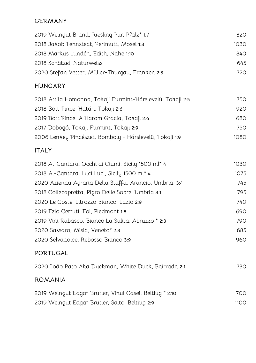#### **GERMANY**

| 2019 Weingut Brand, Riesling Pur, Pfalz* 1:7    | 820  |
|-------------------------------------------------|------|
| 2018 Jakob Tennstedt, Perlmutt, Mosel 1:8       | 1030 |
| 2018 Markus Lundén, Edith, Nahe 1:10            | 840  |
| 2018 Schätzel, Naturweiss                       | 645  |
| 2020 Stefan Vetter, Müller-Thurgau, Franken 2:8 | 72 O |

#### **HUNGARY**

| 2018 Attila Homonna, Tokaji Furmint-Hárslevelú, Tokaji 2:5 | 750  |
|------------------------------------------------------------|------|
| 2018 Bott Pince, Határi, Tokaji 2:6                        | 920  |
| 2019 Bott Pince, A Harom Gracia, Tokaji 2:6                | 680  |
| 2017 Dobogó, Tokaji Furmint, Tokaji 2:9                    | 750  |
| 2006 Lenkey Pincészet, Bomboly - Hárslevelü, Tokaji 1:9    | 1080 |

#### **ITALY**

| 2018 Al-Cantara, Occhi di Ciumi, Sicily 1500 ml* 4      | 1030 |
|---------------------------------------------------------|------|
| 2018 Al-Cantara, Luci Luci, Sicily 1500 ml* 4           | 1075 |
| 2020 Azienda Agraria Della Staffa, Arancio, Umbria, 3:4 | 745  |
| 2018 Collecapretta, Pigro Delle Sobre, Umbria 3:1       | 795  |
| 2020 Le Coste, Litrozzo Bianco, Lazio 2:9               | 740  |
| 2019 Ezio Cerruti, Fol, Piedmont 1:8                    | 690  |
| 2019 Vini Rabasco, Bianco La Salita, Abruzzo * 2:3      | 790  |
| 2020 Sassara, Misià, Veneto* 2:8                        | 685  |
| 2020 Selvadolce, Rebosso Bianco 3:9                     | 960  |
| PORTUGAL                                                |      |
| 2020 João Pato Aka Duckman, White Duck, Bairrada 2:1    | 730  |

#### **ROMANIA**

| 2019 Weingut Edgar Brutler, Vinul Casei, Beltiug * 2:10 | 700. |
|---------------------------------------------------------|------|
| 2019 Weingut Edgar Brutler, Saito, Beltiug 2:9          | 1100 |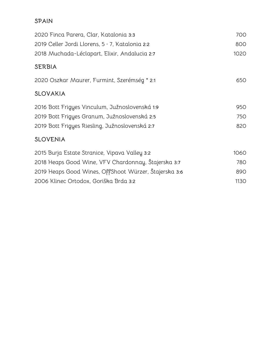#### **SPAIN**

| 2020 Finca Parera, Clar, Katalonia 3:3                 | 700  |
|--------------------------------------------------------|------|
| 2019 Celler Jordi Llorens, $5 \cdot 7$ , Katalonia 2:2 | 800  |
| 2018 Muchada-Léclapart, Elixir, Andalucia 2:7          | 1020 |
| <b>SERBIA</b>                                          |      |
| 2020 Oszkar Maurer, Furmint, Szerémség * 2:1           | 650  |
| SLOVAKIA                                               |      |
| 2016 Bott Frigyes Vinculum, Južnoslovenská 1:9         | 950  |
| 2019 Bott Frigyes Granum, Južnoslovenská 2:5           | 750  |
| 2019 Bott Frigyes Riesling, Južnoslovenská 2:7         | 820  |
| <b>SLOVENIA</b>                                        |      |
| 2015 Burja Estate Stranice, Vipava Valley 3:2          | 1060 |
| 2018 Heaps Good Wine, VFV Chardonnay, Štajerska 3:7    | 780  |
| 2019 Heaps Good Wines, OffShoot Würzer, Štajerska 3:6  | 890  |
| 2006 Klinec Ortodox, Goriška Brda 3:2                  | 1130 |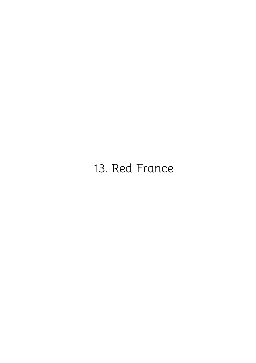# <span id="page-31-0"></span>13. Red France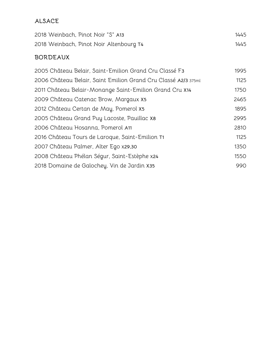# **ALSACE**

| 2018 Weinbach, Pinot Noir "S" A13       | 1445 |
|-----------------------------------------|------|
| 2018 Weinbach, Pinot Noir Altenbourg T4 | 1445 |

### **BORDEAUX**

| 2005 Château Belair, Saint-Emilion Grand Cru Classé F3         | 1995 |
|----------------------------------------------------------------|------|
| 2006 Château Belair, Saint Emilion Grand Cru Classé A2/3 375ml | 1125 |
| 2011 Château Belair-Monange Saint-Emilion Grand Cru X14        | 1750 |
| 2009 Château Catenac Brow, Margaux X5                          | 2465 |
| 2012 Château Certan de May, Pomerol X5                         | 1895 |
| 2005 Château Grand Puy Lacoste, Pauillac X8                    | 2995 |
| 2006 Château Hosanna, Pomerol A11                              | 2810 |
| 2016 Château Tours de Laroque, Saint-Emilion T1                | 1125 |
| 2007 Château Palmer, Alter Ego x29,30                          | 1350 |
| 2008 Château Phélan Ségur, Saint-Estèphe x24                   | 1550 |
| 2018 Domaine de Galochey, Vin de Jardin X35                    | 990  |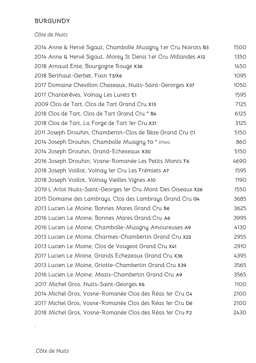#### **BURGUNDY**

#### *Côte de Nuits*

 Anne & Hervé Sigaut, Chambolle Musigny 1:er Cru Noirots **B3** 1500 Anne & Hervé Sigaut, Morey St Denis 1:er Cru Millandes **A12** 1350 Arnaud Ente, Bourgogne Rouge **X36** 1450 Berthaut-Gerbet, Fixin **T3/X6** 1095 Domaine Chevillon Chezeaux, Nuits-Saint-Gerorges **X37** 1050 Chanterêves, Volnay Les Lurets **E1** 1595 Clos de Tart, Clos de Tart Grand Cru **X13** 7125 Clos de Tart, Clos de Tart Grand Cru \* **B4** 6125 Clos de Tart, La Forge de Tart 1er Cru **X31** 3125 Joseph Drouhin, Chambertin-Clos de Bèze Grand Cru **C1** 5150 Joseph Drouhin, Chambolle Musigny **T0** \* 375ml 860 Joseph Drouhin, Grand-Echexeaux **X30** 5150 Joseph Drouhin, Vosne-Romanée Les Petits Monts **F6** 4690 Joseph Voillot, Volnay 1er Cru Les Frémiets **A7** 1595 Joseph Voillot, Volnay Vieilles Vignes **A10** 1190 L ́Arlot Nuits-Saint-Georges 1er Cru Mont Des Oiseaux **X26** 1550 Domaine des Lambrays, Clos des Lambrays Grand Cru **G4** 3685 Lucien Le Moine, Bonnes Mares Grand Cru **B6** 3625 Lucien Le Moine, Bonnes Mares Grand Cru **A6** 3995 Lucien Le Moine, Chambolle-Musigny Amoureuses **A9** 4130 Lucien Le Moine, Charmes-Chambertin Grand Cru **X22** 2955 Lucien Le Moine, Clos de Vougeot Grand Cru **X41** 2910 Lucien Le Moine, Grands Echezeaux Grand Cru **X36** 4395 Lucien Le Moine, Griotte-Chambertin Grand Cru **X39** 3565 Lucien Le Moine, Mazis-Chambertin Grand Cru **A9** 3565 Michel Gros, Nuits-Saint-Georges **X6** 1100 Michel Gros, Vosne-Romanée Clos des Réas 1er Cru **C4** 2100 Michel Gros, Vosne-Romanée Clos des Réas 1er Cru **D6** 2100 Michel Gros, Vosne-Romanée Clos des Réas 1er Cru **F2** 2430

*.*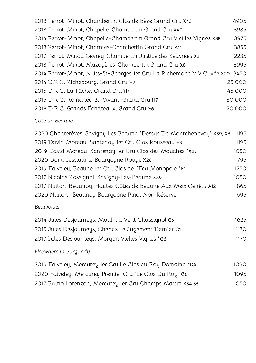| 2013 Perrot-Minot, Chambertin Clos de Bèze Grand Cru X43                    | 4905   |
|-----------------------------------------------------------------------------|--------|
| 2013 Perrot-Minot, Chapelle-Chambertin Grand Cru X40                        | 3985   |
| 2014 Perrot-Minot, Chapelle-Chambertin Grand Cru Vieilles Vignes X38        | 3975   |
| 2013 Perrot-Minot, Charmes-Chambertin Grand Cru A11                         | 3855   |
| 2017 Perrot-Minot, Gevrey-Chambertin Justice des Seuvrées X2                | 2235   |
| 2013 Perrot-Minot, Mazoyères-Chambertin Grand Cru x8                        | 3995   |
| 2014 Perrot-Minot, Nuits-St-Georges 1er Cru La Richemone V.V Cuvée x20 3450 |        |
| 2014 D.R.C. Richebourg, Grand Cru H7                                        | 25 000 |
| 2015 D.R.C. La Tâche, Grand Cru H7                                          | 45 000 |
| 2015 D.R.C. Romanée-St-Vivant, Grand Cru H7                                 | 30 000 |
| 2018 D.R.C. Grands Échézeaux, Grand Cru E6                                  | 20 000 |

#### *Côte de Beaune*

| 2020 Chanterêves, Savigny Les Beaune "Dessus De Montchenevoy" X39, X6 | 1195 |
|-----------------------------------------------------------------------|------|
| 2019 David Moreau, Santenay 1er Cru Clos Rousseau F3                  | 1195 |
| 2019 David Moreau, Santenay 1er Cru Clos des Mouches *x27             | 1050 |
| 2020 Dom. Jessiaume Bourgogne Rouge X28                               | 795  |
| 2019 Faiveley, Beaune 1er Cru Clos de l'Écu Monopole *F1              | 1250 |
| 2017 Nicolas Rossignol, Savigny-Les-Beaune X39                        | 1050 |
| 2017 Nuiton-Beaunoy, Hautes Côtes de Beaune Aux Meix Genêts A12       | 865  |
| 2020 Nuiton- Beaunoy Bourgogne Pinot Noir Réserve                     | 695  |

# *Beaujolais*

| 2014 Jules Desjourneys, Moulin à Vent Chassignol C5   | 1625 |
|-------------------------------------------------------|------|
| 2015 Jules Desjourneys, Chénas Le Jugement Dernier C1 | 1170 |
| 2017 Jules Desjourneys, Morgon Vielles Vignes *C6     | 1170 |

# *Elsewhere in Burgundy*

| 2019 Faiveley, Mercurey 1er Cru Le Clos du Roy Domaine *D4 | 1090 |
|------------------------------------------------------------|------|
| 2020 Faiveley, Mercurey Premier Cru "Le Clos Du Roy" C6    | 1095 |
| 2017 Bruno Lorenzon, Mercurey 1er Cru Champs Martin X34 36 | 1050 |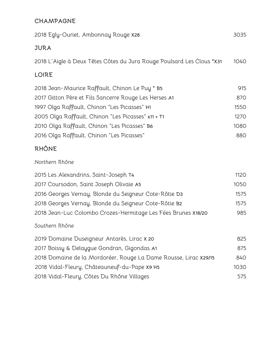#### **CHAMPAGNE**

| 2018 Egly-Ouriet, Ambonnay Rouge X28                                  | 3035       |
|-----------------------------------------------------------------------|------------|
| <b>JURA</b>                                                           |            |
| 2018 L'Aigle à Deux Têtes Côtes du Jura Rouge Poulsard Les Clous *X31 | 1040       |
| LOIRE                                                                 |            |
| 2018 Jean-Maurice Raffault, Chinon Le Puy * B5                        | 915        |
| 2017 Gitton Père et Fils Sancerre Rouge Les Herses A1                 | 870        |
| 1997 Olga Raffault, Chinon "Les Picasses" H1                          | 1550       |
| 2005 Olga Raffault, Chinon "Les Picasses" x11 + T1                    | 1270       |
| 2010 Olga Raffault, Chinon "Les Picasses" B6                          | 1080       |
| 2016 Olga Raffault, Chinon "Les Picasses"                             | 880        |
| <b>RHÔNE</b>                                                          |            |
| Northern Rhône                                                        |            |
| 2015 Les Alexandrins, Saint-Joseph T4                                 | 1120       |
| 2017 Coursodon, Saint Joseph Olivaie A5                               | 1050       |
| 2016 Georges Vernay, Blonde du Seigneur Cote-Rôtie D3                 | 1575       |
| 2018 Georges Vernay, Blonde du Seigneur Cote-Rôtie B2                 | 1575       |
| 2018 Jean-Luc Colombo Crozes-Hermitage Les Fées Brunes X18/20         | 985        |
| Southern Rhône                                                        |            |
| 2019 Domaine Duseigneur Antarès, Lirac X 20                           | 825        |
| 2017 Boissy & Delaygue Gondran, Gigondas A1                           | 875        |
| 2018 Domaine de la Mordoréer, Rouge La Dame Rousse, Lirac X29/15      | <b>840</b> |
| 2018 Vidal-Fleury, Châteauneuf-du-Pape X9 H5                          | 1030       |
| 2018 Vidal-Fleury, Côtes Du Rhône Villages                            | 575        |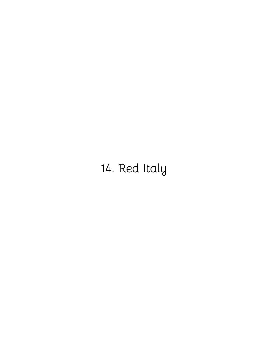# <span id="page-36-0"></span>14. Red Italy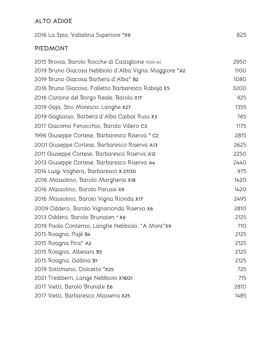#### **ALTO ADIGE**

| 2016 La Spia, Valtelina Superiore *x9                 | 825  |
|-------------------------------------------------------|------|
| <b>PIEDMONT</b>                                       |      |
| 2015 Brovia, Barolo Rocche di Castiglione 1500 ml     | 2950 |
| 2019 Bruno Giacosa Nebbiolo d'Alba Vigna Maggiore *A2 | 1100 |
| 2019 Bruno Giacosa Barbera d'Alba* B2                 | 1080 |
| 2016 Bruno Giacosa, Falletto Barbaresco Rabajà E5     | 3200 |
| 2016 Cantine del Borgo Reale, Barolo X17              | 925  |
| 2019 Gaja, Sito Moresco, Langhe X27                   | 1355 |
| 2019 Gagliasso, Barbera d'Alba Caibot Russ x3         | 765  |
| 2017 Giacomo Fenocchio, Barolo Villero C3             | 1175 |
| 1996 Giuseppe Cortese, Barbaresco Riserva * C2        | 2815 |
| 2001 Giuseppe Cortese, Barbaresco Riserva A13         | 2625 |
| 2011 Giuseppe Cortese, Barbaresco Riserva A12         | 2250 |
| 2013 Giuseppe Cortese, Barbaresco Riserva A4          | 2440 |
| 2014 Luigi Voghera, Barbaresco X 27/30                | 975  |
| 2016 Massolino, Barolo Margheria X18                  | 1420 |
| 2016 Massolino, Barolo Parussi x9                     | 1420 |
| 2016 Massolino, Barolo Vigna Rionda X17               | 2495 |
| 2009 Oddero, Barolo Vignarionda Riserva X6            | 2810 |
| 2013 Oddero, Barolo Brunaten * X6                     | 2125 |
| 2019 Paolo Conterno, Langhe Nebbiolo, "A Mont"X9      | 710  |
| 2015 Roagna, Pajé B4                                  | 2125 |
| 2015 Roagna Pira* A2                                  | 2125 |
| 2015 Roagna, Albesani B5                              | 2125 |
| 2015 Roagna, Gallina B1                               | 2125 |
| 2019 Sottimano, Dolcetto *x25                         | 725  |
| 2021 Trediberri, Lange Nebbiolo X18/21                | 715  |
| 2017 Vietti, Barolo Brunate E6                        | 2810 |
| 2017 Vietti, Barbaresco Masseria X25                  | 1485 |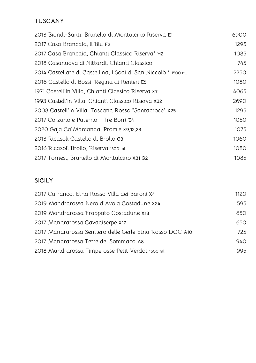# **TUSCANY**

| 2013 Biondi-Santi, Brunello di Montalcino Riserva E1           | 6900 |
|----------------------------------------------------------------|------|
| 2017 Casa Brancaia, il Blu F2                                  | 1295 |
| 2017 Casa Brancaia, Chianti Classico Riserva* H2               | 1085 |
| 2018 Casanuova di Nittardi, Chianti Classico                   | 745  |
| 2014 Castellare di Castellina, I Sodi di San Niccolò * 1500 ml | 2250 |
| 2016 Castello di Bossi, Regina di Renieri E5                   | 1080 |
| 1971 Castell'In Villa, Chianti Classico Riserva X7             | 4065 |
| 1993 Castell'In Villa, Chianti Classico Riserva X32            | 2690 |
| 2008 Castell'In Villa, Toscana Rosso "Santacroce" X25          | 1295 |
| 2017 Corzano e Paterno, I Tre Borri E4                         | 1050 |
| 2020 Gaja Ca' Marcanda, Promis X9,12,23                        | 1075 |
| 2013 Ricasoli Castello di Brolio G3                            | 1060 |
| 2016 Ricasoli Brolio, Riserva 1500 ml                          | 1080 |
| 2017 Tornesi, Brunello di Montalcino X31 G2                    | 1085 |

### **SICILY**

| 2017 Carranco, Etna Rosso Villa dei Baroni X4            | 1120 |
|----------------------------------------------------------|------|
| 2019 Mandrarossa Nero d'Avola Costadune X24              | 595  |
| 2019 Mandrarossa Frappato Costadune X18                  | 650  |
| 2017 Mandrarossa Cavadiserpe X17                         | 650  |
| 2017 Mandrarossa Sentiero delle Gerle Etna Rosso DOC A10 | 725  |
| 2017 Mandrarossa Terre del Sommaco A8                    | 940  |
| 2018 Mandrarossa Timperosse Petit Verdot 1500 ml         | 995  |
|                                                          |      |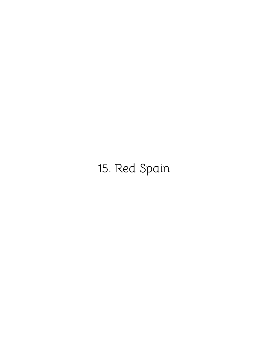# <span id="page-39-0"></span>15. Red Spain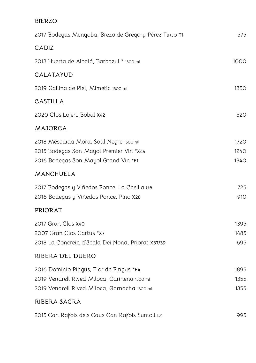#### **BIERZO**

| 2017 Bodegas Mengoba, Brezo de Grégory Pérez Tinto T1                                                                                   | 575                  |
|-----------------------------------------------------------------------------------------------------------------------------------------|----------------------|
| CADIZ                                                                                                                                   |                      |
| 2013 Huerta de Albalá, Barbazul * 1500 ml                                                                                               | 1000                 |
| CALATAYUD                                                                                                                               |                      |
| 2019 Gallina de Piel, Mimetic 1500 ml                                                                                                   | 1350                 |
| CASTILLA                                                                                                                                |                      |
| 2020 Clos Lojen, Bobal X42                                                                                                              | 520                  |
| MAJORCA                                                                                                                                 |                      |
| 2018 Mesquida Mora, Sotil Negre 1500 ml<br>2015 Bodegas Son Mayol Premier Vin *X44<br>2016 Bodegas Son Mayol Grand Vin *F1              | 1720<br>1240<br>1340 |
| MANCHUELA                                                                                                                               |                      |
| 2017 Bodegas y Viñedos Ponce, La Casilla G6<br>2016 Bodegas y Viñedos Ponce, Pino X28                                                   | 725<br>910           |
| <b>PRIORAT</b>                                                                                                                          |                      |
| 2017 Gran Clos X40<br>2007 Gran Clos Cartus *X7<br>2018 La Concreia d'Scala Dei Nona, Priorat X37/39                                    | 1395<br>1485<br>695  |
| RIBERA DEL DUERO                                                                                                                        |                      |
| 2016 Dominio Pingus, Flor de Pingus *E4<br>2019 Vendrell Rived Miloca, Carinena 1500 ml<br>2019 Vendrell Rived Miloca, Garnacha 1500 ml | 1895<br>1355<br>1355 |
| RIBERA SACRA                                                                                                                            |                      |
| 2015 Can Rafols dels Caus Can Rafols Sumoll D1                                                                                          | 995                  |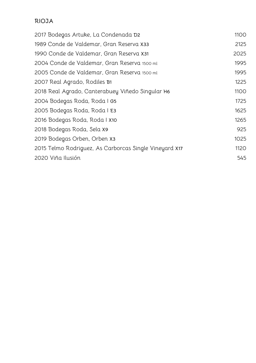#### **RIOJA**

| 2017 Bodegas Artuke, La Condenada D2                   | 1100 |
|--------------------------------------------------------|------|
| 1989 Conde de Valdemar, Gran Reserva x33               | 2125 |
| 1990 Conde de Valdemar, Gran Reserva X31               | 2025 |
| 2004 Conde de Valdemar, Gran Reserva 1500 ml           | 1995 |
| 2005 Conde de Valdemar, Gran Reserva 1500 ml           | 1995 |
| 2007 Real Agrado, Rodiles B1                           | 1225 |
| 2018 Real Agrado, Canterabuey Viñedo Singular H6       | 1100 |
| 2004 Bodegas Roda, Roda I G5                           | 1725 |
| 2005 Bodegas Roda, Roda I E3                           | 1625 |
| 2016 Bodegas Roda, Roda   X10                          | 1265 |
| 2018 Bodegas Roda, Sela x9                             | 925  |
| 2019 Bodegas Orben, Orben X3                           | 1025 |
| 2015 Telmo Rodriguez, As Carborcas Single Vineyard X17 | 1120 |
| 2020 Viña Ilusión                                      | 545  |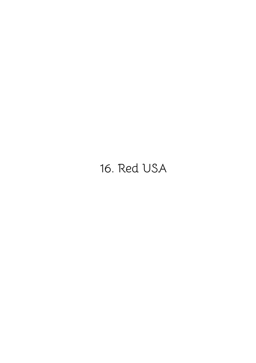# <span id="page-42-0"></span>16. Red USA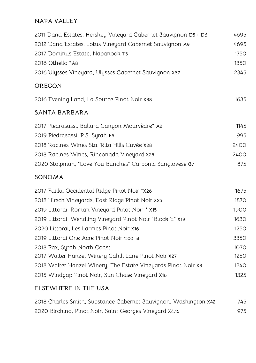#### **NAPA VALLEY**

| 2011 Dana Estates, Hershey Vineyard Cabernet Sauvignon D5 + D6 | 4695 |
|----------------------------------------------------------------|------|
| 2012 Dana Estates, Lotus Vineyard Cabernet Sauvignon A9        | 4695 |
| 2017 Dominus Estate, Napanook T3                               | 1750 |
| 2016 Othello *A8                                               | 1350 |
| 2016 Ulysses Vineyard, Ulysses Cabernet Sauvignon X37          | 2345 |
| OREGON                                                         |      |
| 2016 Evening Land, La Source Pinot Noir X38                    | 1635 |
| SANTA BARBARA                                                  |      |
| 2017 Piedrasassi, Ballard Canyon Mourvèdre* A2                 | 1145 |
| 2019 Piedrasassi, P.S. Syrah F5                                | 995  |
| 2018 Racines Wines Sta. Rita Hills Cuvée X28                   | 2400 |
| 2018 Racines Wines, Rinconada Vineyard X25                     | 2400 |
| 2020 Stolpman, "Love You Bunches" Carbonic Sangiovese G7       | 875  |
| SONOMA                                                         |      |
| 2017 Failla, Occidental Ridge Pinot Noir *X26                  | 1675 |
| 2018 Hirsch Vineyards, East Ridge Pinot Noir X25               | 1870 |
| 2019 Littorai, Roman Vineyard Pinot Noir * X15                 | 1900 |
| 2019 Littorai, Wendling Vineyard Pinot Noir "Block E" X19      | 1630 |
| 2020 Littorai, Les Larmes Pinot Noir X16                       | 1250 |
| 2019 Littorai One Acre Pinot Noir 1500 ml                      | 3350 |
| 2018 Pax, Syrah North Coast                                    | 1070 |
| 2017 Walter Hanzel Winery Cahill Lane Pinot Noir X27           | 1250 |
| 2018 Walter Hanzel Winery, The Estate Vineyards Pinot Noir X3  | 1240 |
| 2015 Windgap Pinot Noir, Sun Chase Vineyard X16                | 1325 |

## **ELSEWHERE IN THE USA**

| 2018 Charles Smith, Substance Cabernet Sauvignon, Washington X42 | 745 |
|------------------------------------------------------------------|-----|
| 2020 Birchino, Pinot Noir, Saint Georges Vineyard X4,15          | 975 |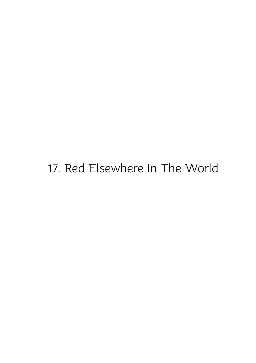# <span id="page-44-0"></span>17. Red Elsewhere In The World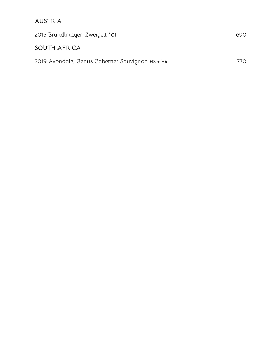## **AUSTRIA**

| 2015 Bründlmayer, Zweigelt *G1                  | 690 |
|-------------------------------------------------|-----|
| SOUTH AFRICA                                    |     |
| 2019 Avondale, Genus Cabernet Sauvignon H3 + H4 | 77N |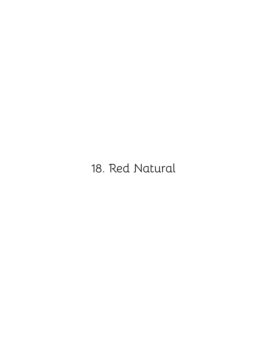# <span id="page-46-0"></span>18. Red Natural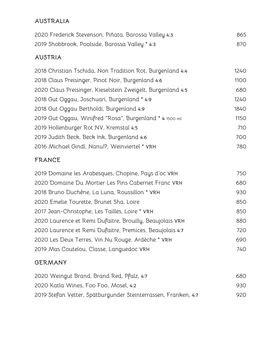#### **AUSTRALIA**

| 2020 Frederick Stevenson, Piñata, Barossa Valley 4:3 | 865 |
|------------------------------------------------------|-----|
| 2019 Shobbrook, Poolside, Barossa Valley * 4:3       | 87O |

#### **AUSTRIA**

| 2018 Christian Tschida, Non Tradition Rot, Burgenland 4:4   | <b>1240</b> |
|-------------------------------------------------------------|-------------|
| 2018 Claus Preisinger, Pinot Noir, Burgenland 4:6           | 1100        |
| 2020 Claus Preisinger, Kieselstein Zweigelt, Burgenland 4:5 | 680         |
| 2018 Gut Oggau, Joschuari, Burgenland * 4:9                 | 1240        |
| 2018 Gut Oggau Bertholdi, Burgenland 4:9                    | <b>1840</b> |
| 2019 Gut Oggau, Winifred "Rosa", Burgenland * 4 1500 ml     | 1150        |
| 2019 Hollenburger Rot NV, Kremstal 4:5                      | 710         |
| 2019 Judith Beck, Beck Ink, Burgenland 4:6                  | 700         |
| 2016 Michael Gindl, Nanu!?, Weinviertel * VRH               | 780         |
|                                                             |             |

### **FRANCE**

| 2019 Domaine les Arabesques, Chopine, Pays d'oc VRH      | 750 |
|----------------------------------------------------------|-----|
| 2020 Domaine Du Mortier Les Pins Cabernet Franc VRH      | 680 |
| 2018 Bruno Duchêne, La Luna, Roussillon * VRH            | 930 |
| 2020 Emelie Tourette, Brunet Sha, Loire                  | 850 |
| 2017 Jean-Christophe, Les Tailles, Loire * VRH           | 850 |
| 2020 Laurence et Remi Dufaitre, Brouilly, Beaujolais VRH | 880 |
| 2020 Laurence et Remi Dufaitre, Premices, Beaujolais 4:7 | 720 |
| 2020 Les Deux Terres, Vin Nu Rouge, Ardèche * VRH        | 690 |
| 2019 Mas Coutelou, Classe, Languedoc VRH                 | 740 |
|                                                          |     |

#### **GERMANY**

| 2020 Weingut Brand, Brand Red, Pfalz, 4:7                      | 680. |
|----------------------------------------------------------------|------|
| 2020 Katla Wines, Foo Foo, Mosel, 4:2                          | 930. |
| 2019 Stefan Vetter, Spätburgunder Steinterrassen, Franken, 4:7 | 920. |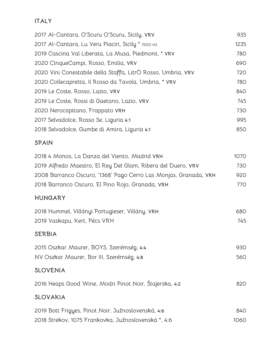### **ITALY**

| 2017 Al-Cantara, O'Scuru O'Scuru, Sicily, VRV                | 935  |
|--------------------------------------------------------------|------|
| 2017 Al-Cantara, Lu Veru Piaciri, Sicily * 1500 ml           | 1235 |
| 2019 Cascina Val Liberata, La Musa, Piedmont, * vRV          | 780  |
| 2020 CinqueCampi, Rosso, Emilia, VRV                         | 690  |
| 2020 Vini Conestabile della Staffa, LitrÒ Rosso, Umbria, VRV | 720  |
| 2020 Collecapretta, Il Rosso da Tavola, Umbria, * VRV        | 780  |
| 2019 Le Coste, Rosso, Lazio, VRV                             | 840  |
| 2019 Le Coste, Rossi di Gaetano, Lazio, VRV                  | 745  |
| 2020 Nerocapitano, Frappato VRH                              | 730  |
| 2017 Selvadolce, Rosso Se, Liguria 4:1                       | 995  |
| 2018 Selvadolce, Gumbe di Amira, Liguria 4:1                 | 850  |
|                                                              |      |

#### **SPAIN**

| 2018 4 Monos, La Danza del Viento, Madrid VRH                    | 1070 |
|------------------------------------------------------------------|------|
| 2019 Alfredo Maestro, El Rey Del Glam, Ribera del Duero, vrv     | 730  |
| 2008 Barranco Oscuro, '1368' Pago Cerro Las Monjas, Granada, VRH | 920  |
| 2018 Barranco Oscuro, El Pino Rojo, Granada, VRH                 | 770  |

#### **HUNGARY**

| 2018 Hummel, Villányi Portugieser, Villány, VRH | 680 |
|-------------------------------------------------|-----|
| 2019 Vaskapu, Kert, Pécs VRH                    | 745 |
|                                                 |     |

## **SERBIA**

| 2015 Oszkar Maurer, BOYS, Szerémség, 4:4  | 930- |
|-------------------------------------------|------|
| NV Oszkar Maurer, Bor III, Szerémség, 4:8 | 560  |

## **SLOVENIA**

Heaps Good Wine, Modri Pinot Noir, Štajerska, **4:2** 820

# **SLOVAKIA**

| 2019 Bott Frigyes, Pinot Noir, Južnoslovenská, 4:6  | 840. |
|-----------------------------------------------------|------|
| 2018 Strekov, 1075 Frankovka, Južnoslovenská *, 4:6 | 1060 |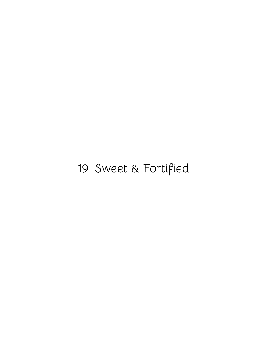# <span id="page-49-0"></span>19. Sweet & Fortified